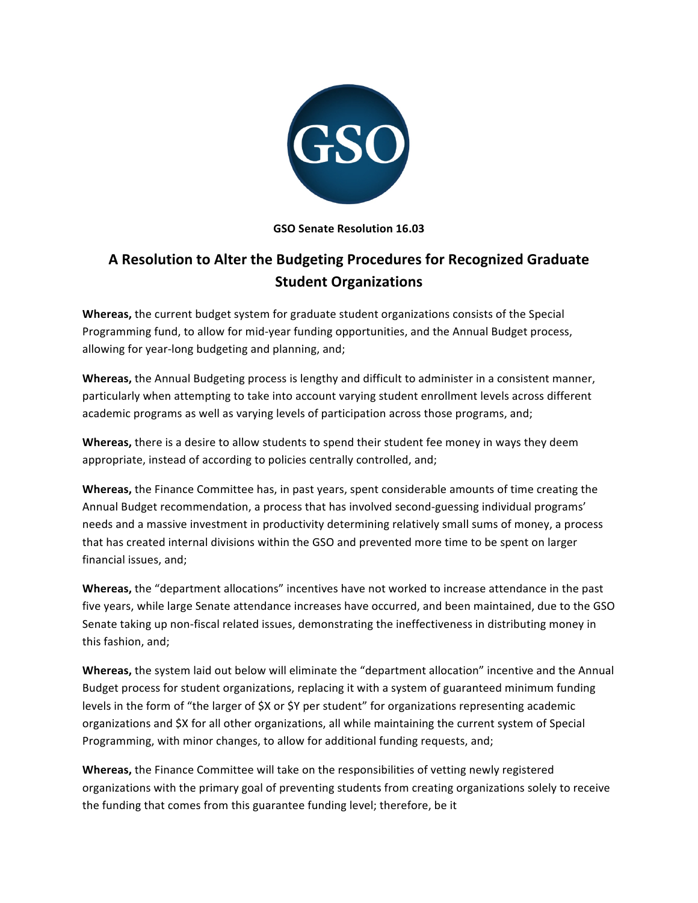

# **GSO Senate Resolution 16.03**

# A Resolution to Alter the Budgeting Procedures for Recognized Graduate **Student Organizations**

**Whereas,** the current budget system for graduate student organizations consists of the Special Programming fund, to allow for mid-year funding opportunities, and the Annual Budget process, allowing for year-long budgeting and planning, and;

**Whereas,** the Annual Budgeting process is lengthy and difficult to administer in a consistent manner, particularly when attempting to take into account varying student enrollment levels across different academic programs as well as varying levels of participation across those programs, and;

**Whereas,** there is a desire to allow students to spend their student fee money in ways they deem appropriate, instead of according to policies centrally controlled, and;

**Whereas,** the Finance Committee has, in past years, spent considerable amounts of time creating the Annual Budget recommendation, a process that has involved second-guessing individual programs' needs and a massive investment in productivity determining relatively small sums of money, a process that has created internal divisions within the GSO and prevented more time to be spent on larger financial issues, and;

**Whereas,** the "department allocations" incentives have not worked to increase attendance in the past five years, while large Senate attendance increases have occurred, and been maintained, due to the GSO Senate taking up non-fiscal related issues, demonstrating the ineffectiveness in distributing money in this fashion, and;

**Whereas,** the system laid out below will eliminate the "department allocation" incentive and the Annual Budget process for student organizations, replacing it with a system of guaranteed minimum funding levels in the form of "the larger of \$X or \$Y per student" for organizations representing academic organizations and \$X for all other organizations, all while maintaining the current system of Special Programming, with minor changes, to allow for additional funding requests, and;

**Whereas,** the Finance Committee will take on the responsibilities of vetting newly registered organizations with the primary goal of preventing students from creating organizations solely to receive the funding that comes from this guarantee funding level; therefore, be it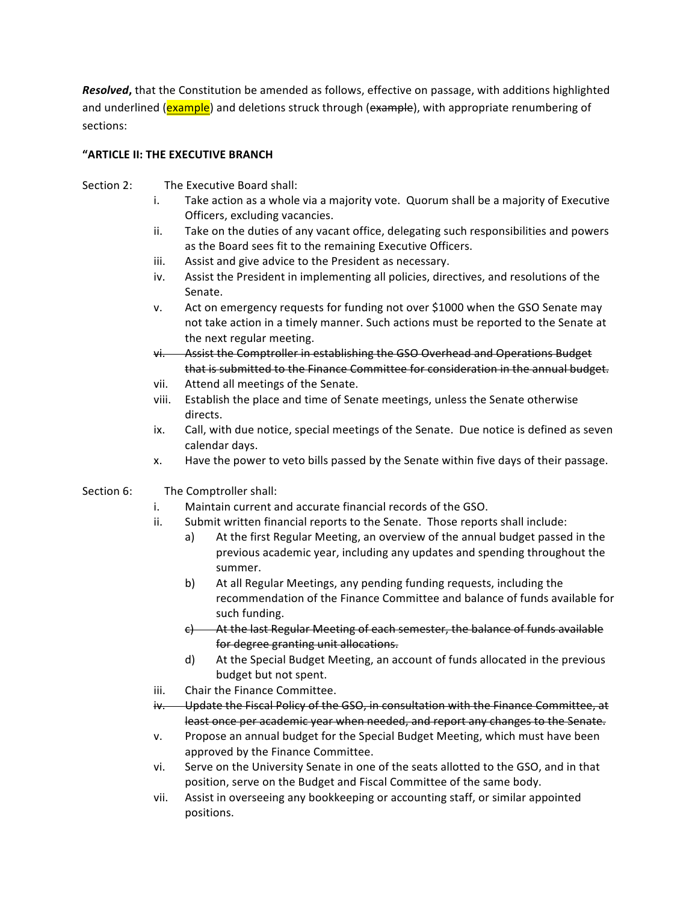*Resolved*, that the Constitution be amended as follows, effective on passage, with additions highlighted and underlined (**example**) and deletions struck through (example), with appropriate renumbering of sections:

#### **"ARTICLE II: THE EXECUTIVE BRANCH**

- Section 2: The Executive Board shall:
	- i. Take action as a whole via a majority vote. Quorum shall be a majority of Executive Officers, excluding vacancies.
	- ii. Take on the duties of any vacant office, delegating such responsibilities and powers as the Board sees fit to the remaining Executive Officers.
	- iii. Assist and give advice to the President as necessary.
	- iv. Assist the President in implementing all policies, directives, and resolutions of the Senate.
	- v. Act on emergency requests for funding not over \$1000 when the GSO Senate may not take action in a timely manner. Such actions must be reported to the Senate at the next regular meeting.
	- vi. Assist the Comptroller in establishing the GSO Overhead and Operations Budget that is submitted to the Finance Committee for consideration in the annual budget.
	- vii. Attend all meetings of the Senate.
	- viii. Establish the place and time of Senate meetings, unless the Senate otherwise directs.
	- ix. Call, with due notice, special meetings of the Senate. Due notice is defined as seven calendar days.
	- x. Have the power to veto bills passed by the Senate within five days of their passage.
- Section 6: The Comptroller shall:
	- i. Maintain current and accurate financial records of the GSO.
	- ii. Submit written financial reports to the Senate. Those reports shall include:
		- a) At the first Regular Meeting, an overview of the annual budget passed in the previous academic year, including any updates and spending throughout the summer.
		- b) At all Regular Meetings, any pending funding requests, including the recommendation of the Finance Committee and balance of funds available for such funding.
		- e) At the last Regular Meeting of each semester, the balance of funds available for degree granting unit allocations.
		- d) At the Special Budget Meeting, an account of funds allocated in the previous budget but not spent.
	- iii. Chair the Finance Committee.
	- iv. Update the Fiscal Policy of the GSO, in consultation with the Finance Committee, at least once per academic year when needed, and report any changes to the Senate.
	- v. Propose an annual budget for the Special Budget Meeting, which must have been approved by the Finance Committee.
	- vi. Serve on the University Senate in one of the seats allotted to the GSO, and in that position, serve on the Budget and Fiscal Committee of the same body.
	- vii. Assist in overseeing any bookkeeping or accounting staff, or similar appointed positions.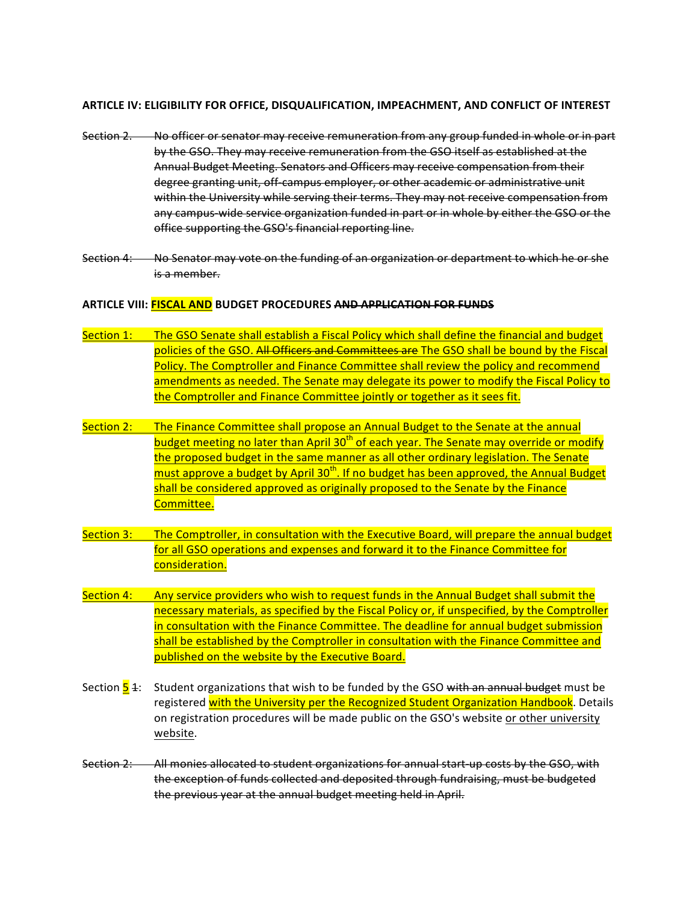#### **ARTICLE IV: ELIGIBILITY FOR OFFICE, DISQUALIFICATION, IMPEACHMENT, AND CONFLICT OF INTEREST**

- Section 2. No officer or senator may receive remuneration from any group funded in whole or in part by the GSO. They may receive remuneration from the GSO itself as established at the Annual Budget Meeting. Senators and Officers may receive compensation from their degree granting unit, off-campus employer, or other academic or administrative unit within the University while serving their terms. They may not receive compensation from any campus-wide service organization funded in part or in whole by either the GSO or the office supporting the GSO's financial reporting line.
- Section 4: No Senator may vote on the funding of an organization or department to which he or she is a member.

#### **ARTICLE VIII: FISCAL AND BUDGET PROCEDURES AND APPLICATION FOR FUNDS**

- Section  $1:$  The GSO Senate shall establish a Fiscal Policy which shall define the financial and budget policies of the GSO. All Officers and Committees are The GSO shall be bound by the Fiscal Policy. The Comptroller and Finance Committee shall review the policy and recommend amendments as needed. The Senate may delegate its power to modify the Fiscal Policy to the Comptroller and Finance Committee jointly or together as it sees fit.
- Section 2: The Finance Committee shall propose an Annual Budget to the Senate at the annual budget meeting no later than April 30<sup>th</sup> of each year. The Senate may override or modify the proposed budget in the same manner as all other ordinary legislation. The Senate must approve a budget by April  $30<sup>th</sup>$ . If no budget has been approved, the Annual Budget shall be considered approved as originally proposed to the Senate by the Finance Committee.
- Section 3: The Comptroller, in consultation with the Executive Board, will prepare the annual budget for all GSO operations and expenses and forward it to the Finance Committee for consideration.
- Section  $4:$  Any service providers who wish to request funds in the Annual Budget shall submit the necessary materials, as specified by the Fiscal Policy or, if unspecified, by the Comptroller in consultation with the Finance Committee. The deadline for annual budget submission shall be established by the Comptroller in consultation with the Finance Committee and published on the website by the Executive Board.
- Section  $\frac{1}{5}$  4: Student organizations that wish to be funded by the GSO with an annual budget must be registered with the University per the Recognized Student Organization Handbook. Details on registration procedures will be made public on the GSO's website or other university website.
- Section 2: All monies allocated to student organizations for annual start-up costs by the GSO, with the exception of funds collected and deposited through fundraising, must be budgeted the previous year at the annual budget meeting held in April.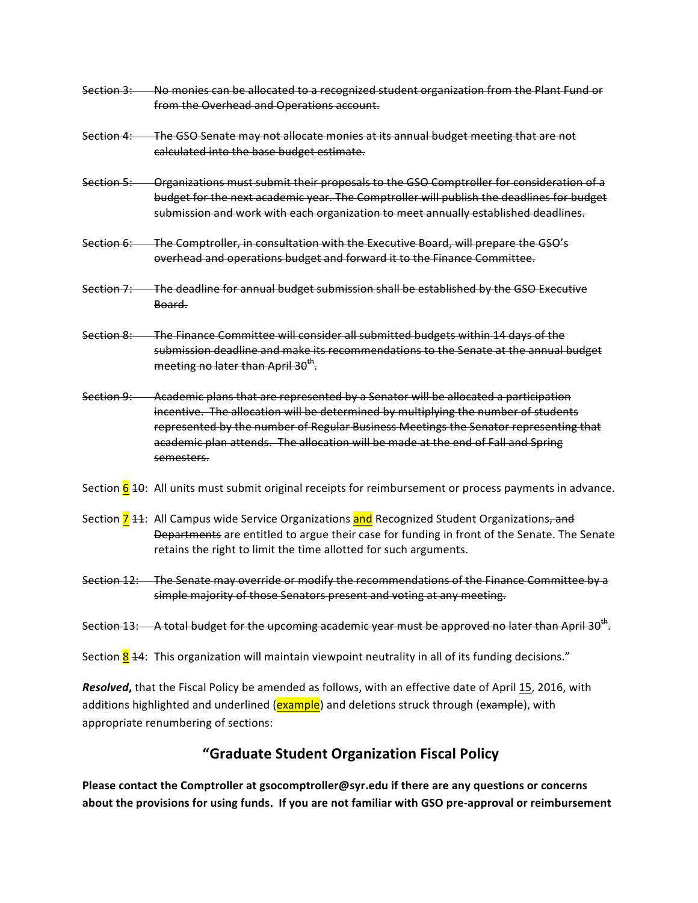- Section 3: No monies can be allocated to a recognized student organization from the Plant Fund or from the Overhead and Operations account.
- Section 4: The GSO Senate may not allocate monies at its annual budget meeting that are not calculated into the base budget estimate.
- Section 5: Organizations must submit their proposals to the GSO Comptroller for consideration of a budget for the next academic year. The Comptroller will publish the deadlines for budget submission and work with each organization to meet annually established deadlines.
- Section 6: The Comptroller, in consultation with the Executive Board, will prepare the GSO's overhead and operations budget and forward it to the Finance Committee.
- Section 7: The deadline for annual budget submission shall be established by the GSO Executive Board.
- Section 8: The Finance Committee will consider all submitted budgets within 14 days of the submission deadline and make its recommendations to the Senate at the annual budget meeting no later than April  $30^{th}$ .
- Section 9: Academic plans that are represented by a Senator will be allocated a participation incentive. The allocation will be determined by multiplying the number of students represented by the number of Regular Business Meetings the Senator representing that academic plan attends. The allocation will be made at the end of Fall and Spring semesters.
- Section  $\frac{6}{9}$  40: All units must submit original receipts for reimbursement or process payments in advance.
- Section 7 44: All Campus wide Service Organizations and Recognized Student Organizations, and Departments are entitled to argue their case for funding in front of the Senate. The Senate retains the right to limit the time allotted for such arguments.
- Section 12: The Senate may override or modify the recommendations of the Finance Committee by a simple majority of those Senators present and voting at any meeting.

Section 13: A total budget for the upcoming academic year must be approved no later than April 30<sup>th</sup>.

Section  $\frac{8}{4}$ : This organization will maintain viewpoint neutrality in all of its funding decisions."

**Resolved**, that the Fiscal Policy be amended as follows, with an effective date of April 15, 2016, with additions highlighted and underlined (example) and deletions struck through (example), with appropriate renumbering of sections:

# **"Graduate Student Organization Fiscal Policy**

**Please contact the Comptroller at gsocomptroller@syr.edu if there are any questions or concerns** about the provisions for using funds. If you are not familiar with GSO pre-approval or reimbursement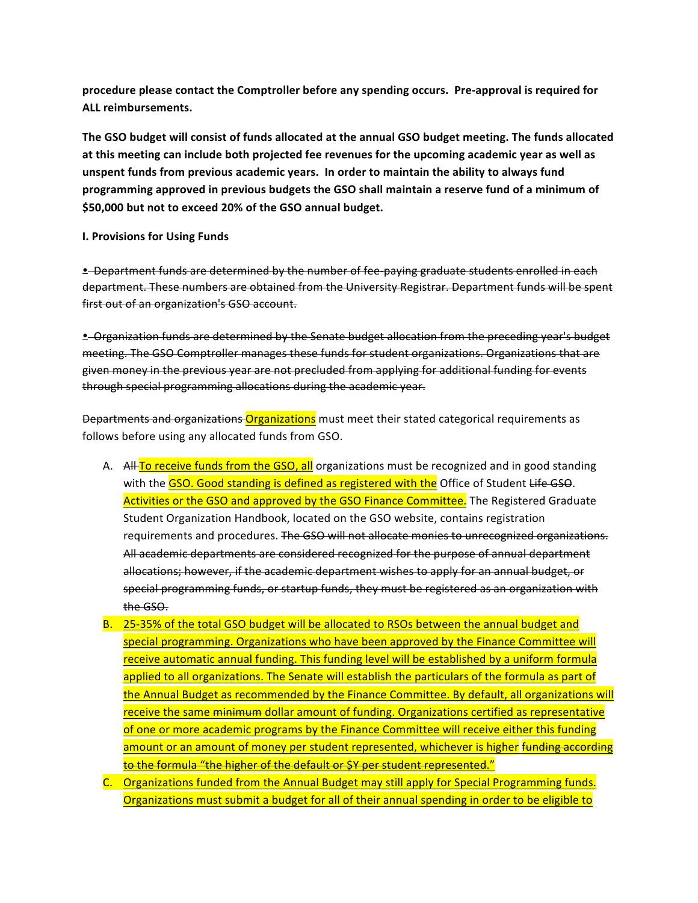procedure please contact the Comptroller before any spending occurs. Pre-approval is required for **ALL reimbursements.**

The GSO budget will consist of funds allocated at the annual GSO budget meeting. The funds allocated at this meeting can include both projected fee revenues for the upcoming academic year as well as unspent funds from previous academic years. In order to maintain the ability to always fund programming approved in previous budgets the GSO shall maintain a reserve fund of a minimum of \$50,000 but not to exceed 20% of the GSO annual budget.

#### **I. Provisions for Using Funds**

**• Department funds are determined by the number of fee-paying graduate students enrolled in each** department. These numbers are obtained from the University Registrar. Department funds will be spent first out of an organization's GSO account.

• Organization funds are determined by the Senate budget allocation from the preceding year's budget meeting. The GSO Comptroller manages these funds for student organizations. Organizations that are given money in the previous year are not precluded from applying for additional funding for events through special programming allocations during the academic year.

Departments and organizations Organizations must meet their stated categorical requirements as follows before using any allocated funds from GSO.

- A. All To receive funds from the GSO, all organizations must be recognized and in good standing with the **GSO.** Good standing is defined as registered with the Office of Student Life GSO. Activities or the GSO and approved by the GSO Finance Committee. The Registered Graduate Student Organization Handbook, located on the GSO website, contains registration requirements and procedures. The GSO will not allocate monies to unrecognized organizations. All academic departments are considered recognized for the purpose of annual department allocations; however, if the academic department wishes to apply for an annual budget, or special programming funds, or startup funds, they must be registered as an organization with the GSO.
- B. 25-35% of the total GSO budget will be allocated to RSOs between the annual budget and special programming. Organizations who have been approved by the Finance Committee will receive automatic annual funding. This funding level will be established by a uniform formula applied to all organizations. The Senate will establish the particulars of the formula as part of the Annual Budget as recommended by the Finance Committee. By default, all organizations will receive the same minimum dollar amount of funding. Organizations certified as representative of one or more academic programs by the Finance Committee will receive either this funding amount or an amount of money per student represented, whichever is higher funding according <mark>to the formula "the higher of the default or \$Y per student represented."</mark>
- C. Organizations funded from the Annual Budget may still apply for Special Programming funds. Organizations must submit a budget for all of their annual spending in order to be eligible to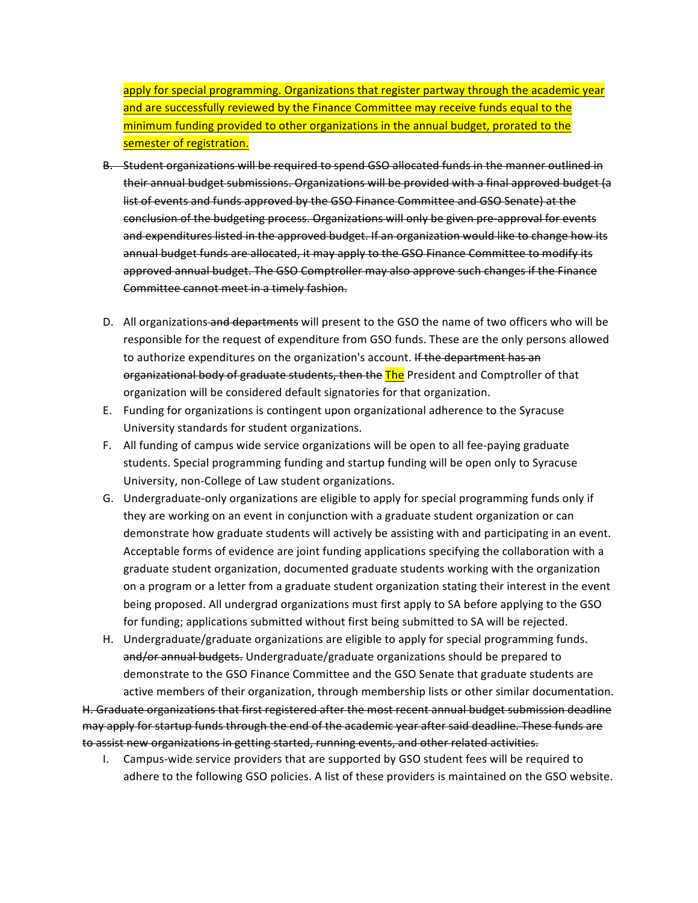apply for special programming. Organizations that register partway through the academic year and are successfully reviewed by the Finance Committee may receive funds equal to the minimum funding provided to other organizations in the annual budget, prorated to the semester of registration.

- B. Student organizations will be required to spend GSO allocated funds in the manner outlined in their annual budget submissions. Organizations will be provided with a final approved budget (a list of events and funds approved by the GSO Finance Committee and GSO Senate) at the conclusion of the budgeting process. Organizations will only be given pre-approval for events and expenditures listed in the approved budget. If an organization would like to change how its annual budget funds are allocated, it may apply to the GSO Finance Committee to modify its approved annual budget. The GSO Comptroller may also approve such changes if the Finance Committee cannot meet in a timely fashion.
- D. All organizations and departments will present to the GSO the name of two officers who will be responsible for the request of expenditure from GSO funds. These are the only persons allowed to authorize expenditures on the organization's account. If the department has an organizational body of graduate students, then the The President and Comptroller of that organization will be considered default signatories for that organization.
- E. Funding for organizations is contingent upon organizational adherence to the Syracuse University standards for student organizations.
- F. All funding of campus wide service organizations will be open to all fee-paying graduate students. Special programming funding and startup funding will be open only to Syracuse University, non-College of Law student organizations.
- G. Undergraduate-only organizations are eligible to apply for special programming funds only if they are working on an event in conjunction with a graduate student organization or can demonstrate how graduate students will actively be assisting with and participating in an event. Acceptable forms of evidence are joint funding applications specifying the collaboration with a graduate student organization, documented graduate students working with the organization on a program or a letter from a graduate student organization stating their interest in the event being proposed. All undergrad organizations must first apply to SA before applying to the GSO for funding; applications submitted without first being submitted to SA will be rejected.
- H. Undergraduate/graduate organizations are eligible to apply for special programming funds. and/or annual budgets. Undergraduate/graduate organizations should be prepared to demonstrate to the GSO Finance Committee and the GSO Senate that graduate students are active members of their organization, through membership lists or other similar documentation.

H. Graduate organizations that first registered after the most recent annual budget submission deadline may apply for startup funds through the end of the academic year after said deadline. These funds are to assist new organizations in getting started, running events, and other related activities.

I. Campus-wide service providers that are supported by GSO student fees will be required to adhere to the following GSO policies. A list of these providers is maintained on the GSO website.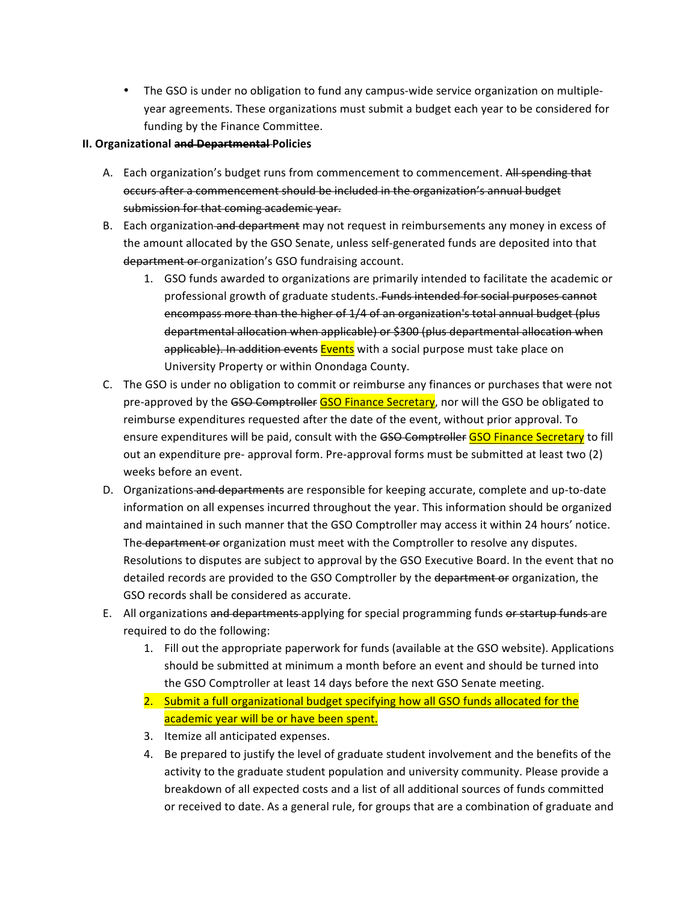• The GSO is under no obligation to fund any campus-wide service organization on multipleyear agreements. These organizations must submit a budget each year to be considered for funding by the Finance Committee.

# **II. Organizational and Departmental Policies**

- A. Each organization's budget runs from commencement to commencement. All spending that occurs after a commencement should be included in the organization's annual budget submission for that coming academic year.
- B. Each organization and department may not request in reimbursements any money in excess of the amount allocated by the GSO Senate, unless self-generated funds are deposited into that department or organization's GSO fundraising account.
	- 1. GSO funds awarded to organizations are primarily intended to facilitate the academic or professional growth of graduate students. Funds intended for social purposes cannot encompass more than the higher of 1/4 of an organization's total annual budget (plus departmental allocation when applicable) or \$300 (plus departmental allocation when applicable). In addition events Events with a social purpose must take place on University Property or within Onondaga County.
- C. The GSO is under no obligation to commit or reimburse any finances or purchases that were not pre-approved by the GSO Comptroller GSO Finance Secretary, nor will the GSO be obligated to reimburse expenditures requested after the date of the event, without prior approval. To ensure expenditures will be paid, consult with the GSO Comptroller GSO Finance Secretary to fill out an expenditure pre- approval form. Pre-approval forms must be submitted at least two (2) weeks before an event.
- D. Organizations and departments are responsible for keeping accurate, complete and up-to-date information on all expenses incurred throughout the year. This information should be organized and maintained in such manner that the GSO Comptroller may access it within 24 hours' notice. The department or organization must meet with the Comptroller to resolve any disputes. Resolutions to disputes are subject to approval by the GSO Executive Board. In the event that no detailed records are provided to the GSO Comptroller by the department or organization, the GSO records shall be considered as accurate.
- E. All organizations and departments applying for special programming funds or startup funds are required to do the following:
	- 1. Fill out the appropriate paperwork for funds (available at the GSO website). Applications should be submitted at minimum a month before an event and should be turned into the GSO Comptroller at least 14 days before the next GSO Senate meeting.
	- 2. Submit a full organizational budget specifying how all GSO funds allocated for the academic year will be or have been spent.
	- 3. Itemize all anticipated expenses.
	- 4. Be prepared to justify the level of graduate student involvement and the benefits of the activity to the graduate student population and university community. Please provide a breakdown of all expected costs and a list of all additional sources of funds committed or received to date. As a general rule, for groups that are a combination of graduate and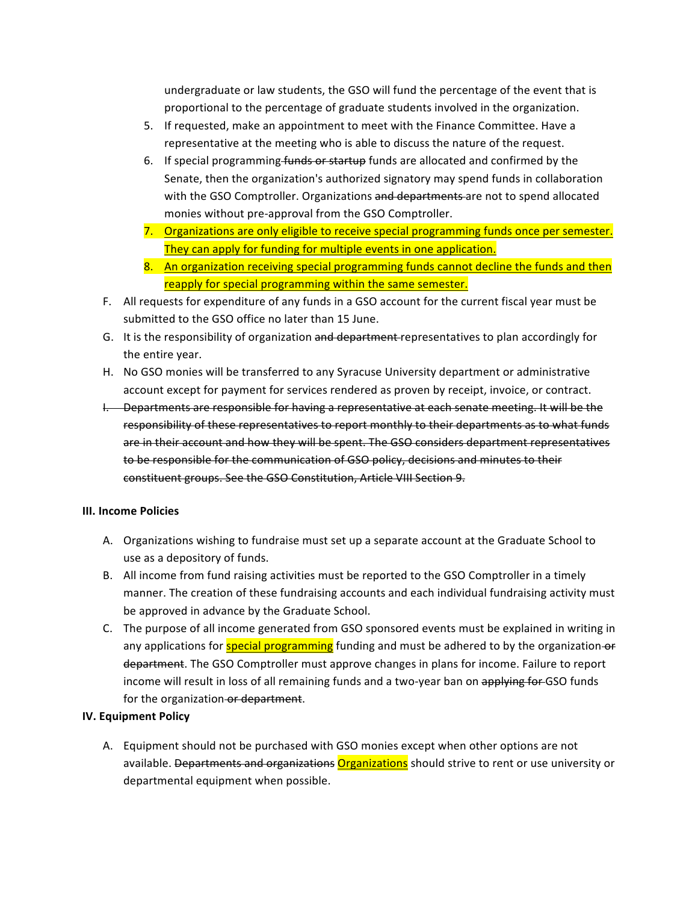undergraduate or law students, the GSO will fund the percentage of the event that is proportional to the percentage of graduate students involved in the organization.

- 5. If requested, make an appointment to meet with the Finance Committee. Have a representative at the meeting who is able to discuss the nature of the request.
- 6. If special programming funds or startup funds are allocated and confirmed by the Senate, then the organization's authorized signatory may spend funds in collaboration with the GSO Comptroller. Organizations and departments are not to spend allocated monies without pre-approval from the GSO Comptroller.
- 7. Organizations are only eligible to receive special programming funds once per semester. They can apply for funding for multiple events in one application.
- 8. An organization receiving special programming funds cannot decline the funds and then reapply for special programming within the same semester.
- F. All requests for expenditure of any funds in a GSO account for the current fiscal year must be submitted to the GSO office no later than 15 June.
- G. It is the responsibility of organization and department representatives to plan accordingly for the entire year.
- H. No GSO monies will be transferred to any Syracuse University department or administrative account except for payment for services rendered as proven by receipt, invoice, or contract.
- I. Departments are responsible for having a representative at each senate meeting. It will be the responsibility of these representatives to report monthly to their departments as to what funds are in their account and how they will be spent. The GSO considers department representatives to be responsible for the communication of GSO policy, decisions and minutes to their constituent groups. See the GSO Constitution, Article VIII Section 9.

#### **III. Income Policies**

- A. Organizations wishing to fundraise must set up a separate account at the Graduate School to use as a depository of funds.
- B. All income from fund raising activities must be reported to the GSO Comptroller in a timely manner. The creation of these fundraising accounts and each individual fundraising activity must be approved in advance by the Graduate School.
- C. The purpose of all income generated from GSO sponsored events must be explained in writing in any applications for **special programming** funding and must be adhered to by the organization-or department. The GSO Comptroller must approve changes in plans for income. Failure to report income will result in loss of all remaining funds and a two-year ban on applying for GSO funds for the organization or department.

# **IV. Equipment Policy**

A. Equipment should not be purchased with GSO monies except when other options are not available. Departments and organizations Organizations should strive to rent or use university or departmental equipment when possible.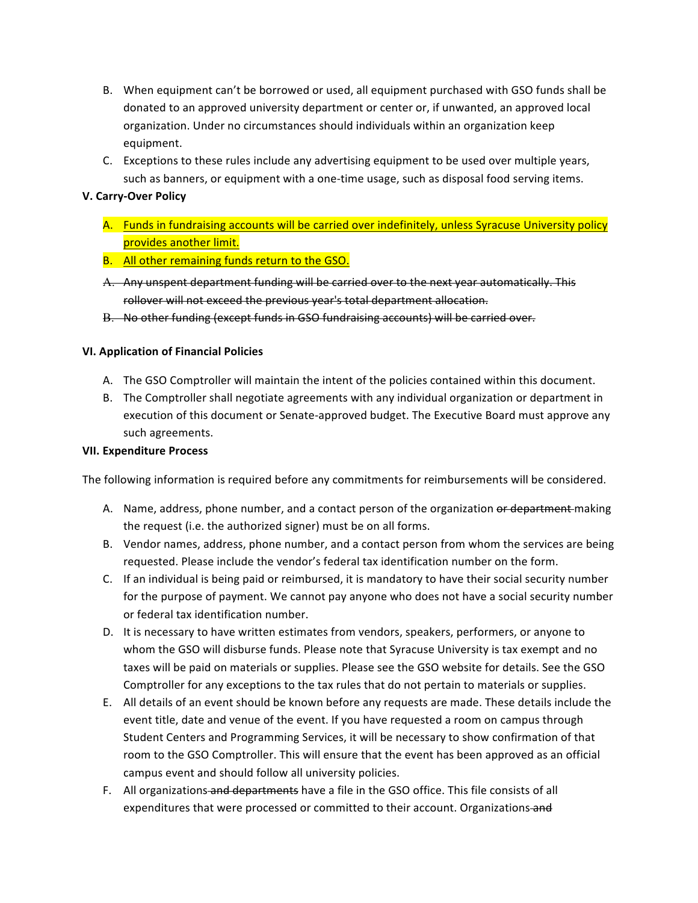- B. When equipment can't be borrowed or used, all equipment purchased with GSO funds shall be donated to an approved university department or center or, if unwanted, an approved local organization. Under no circumstances should individuals within an organization keep equipment.
- C. Exceptions to these rules include any advertising equipment to be used over multiple years, such as banners, or equipment with a one-time usage, such as disposal food serving items.

#### **V. Carry-Over Policy**

- A. Funds in fundraising accounts will be carried over indefinitely, unless Syracuse University policy provides another limit.
- B. All other remaining funds return to the GSO.
- A. Any unspent department funding will be carried over to the next year automatically. This rollover will not exceed the previous year's total department allocation.
- B. No other funding (except funds in GSO fundraising accounts) will be carried over.

# **VI. Application of Financial Policies**

- A. The GSO Comptroller will maintain the intent of the policies contained within this document.
- B. The Comptroller shall negotiate agreements with any individual organization or department in execution of this document or Senate-approved budget. The Executive Board must approve any such agreements.

#### **VII. Expenditure Process**

The following information is required before any commitments for reimbursements will be considered.

- A. Name, address, phone number, and a contact person of the organization or department making the request (i.e. the authorized signer) must be on all forms.
- B. Vendor names, address, phone number, and a contact person from whom the services are being requested. Please include the vendor's federal tax identification number on the form.
- C. If an individual is being paid or reimbursed, it is mandatory to have their social security number for the purpose of payment. We cannot pay anyone who does not have a social security number or federal tax identification number.
- D. It is necessary to have written estimates from vendors, speakers, performers, or anyone to whom the GSO will disburse funds. Please note that Syracuse University is tax exempt and no taxes will be paid on materials or supplies. Please see the GSO website for details. See the GSO Comptroller for any exceptions to the tax rules that do not pertain to materials or supplies.
- E. All details of an event should be known before any requests are made. These details include the event title, date and venue of the event. If you have requested a room on campus through Student Centers and Programming Services, it will be necessary to show confirmation of that room to the GSO Comptroller. This will ensure that the event has been approved as an official campus event and should follow all university policies.
- F. All organizations and departments have a file in the GSO office. This file consists of all expenditures that were processed or committed to their account. Organizations and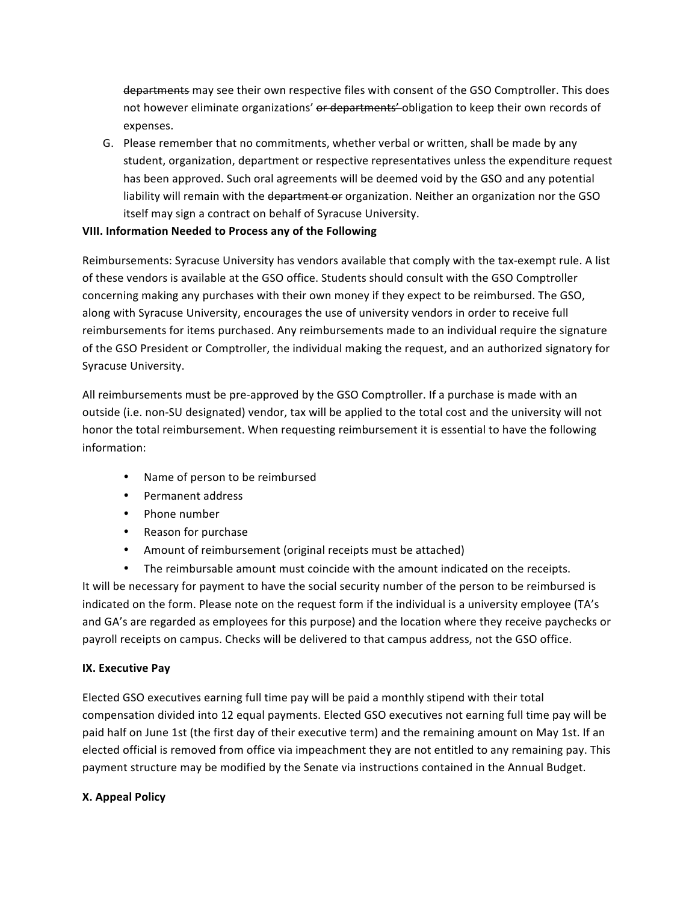departments may see their own respective files with consent of the GSO Comptroller. This does not however eliminate organizations' or departments' obligation to keep their own records of expenses.

G. Please remember that no commitments, whether verbal or written, shall be made by any student, organization, department or respective representatives unless the expenditure request has been approved. Such oral agreements will be deemed void by the GSO and any potential liability will remain with the department or organization. Neither an organization nor the GSO itself may sign a contract on behalf of Syracuse University.

#### **VIII. Information Needed to Process any of the Following**

Reimbursements: Syracuse University has vendors available that comply with the tax-exempt rule. A list of these vendors is available at the GSO office. Students should consult with the GSO Comptroller concerning making any purchases with their own money if they expect to be reimbursed. The GSO, along with Syracuse University, encourages the use of university vendors in order to receive full reimbursements for items purchased. Any reimbursements made to an individual require the signature of the GSO President or Comptroller, the individual making the request, and an authorized signatory for Syracuse University.

All reimbursements must be pre-approved by the GSO Comptroller. If a purchase is made with an outside (i.e. non-SU designated) vendor, tax will be applied to the total cost and the university will not honor the total reimbursement. When requesting reimbursement it is essential to have the following information:

- Name of person to be reimbursed
- Permanent address
- Phone number
- Reason for purchase
- Amount of reimbursement (original receipts must be attached)
- The reimbursable amount must coincide with the amount indicated on the receipts.

It will be necessary for payment to have the social security number of the person to be reimbursed is indicated on the form. Please note on the request form if the individual is a university employee (TA's and GA's are regarded as employees for this purpose) and the location where they receive paychecks or payroll receipts on campus. Checks will be delivered to that campus address, not the GSO office.

#### **IX. Executive Pay**

Elected GSO executives earning full time pay will be paid a monthly stipend with their total compensation divided into 12 equal payments. Elected GSO executives not earning full time pay will be paid half on June 1st (the first day of their executive term) and the remaining amount on May 1st. If an elected official is removed from office via impeachment they are not entitled to any remaining pay. This payment structure may be modified by the Senate via instructions contained in the Annual Budget.

#### **X. Appeal Policy**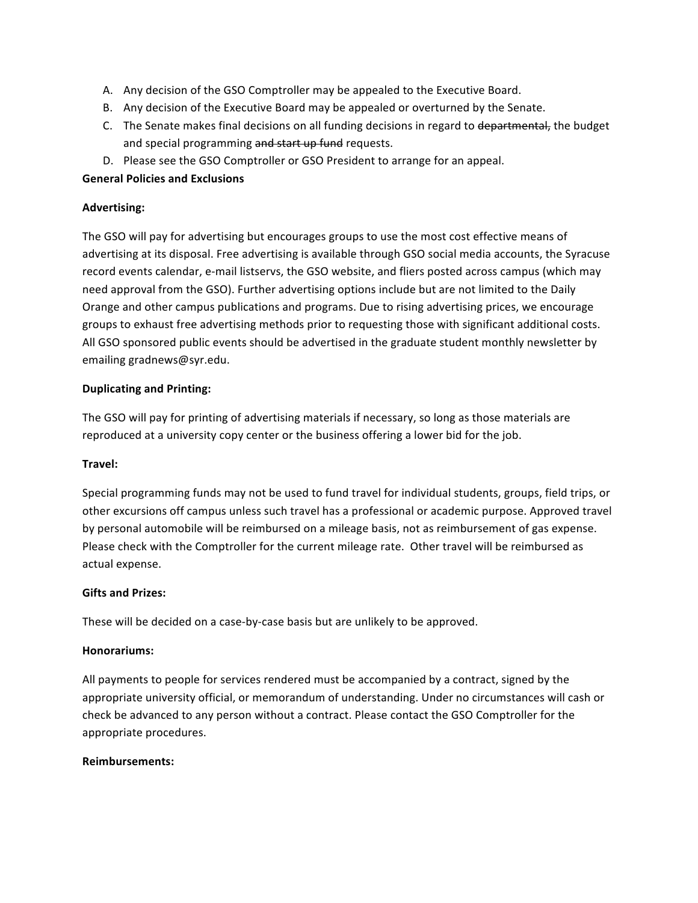- A. Any decision of the GSO Comptroller may be appealed to the Executive Board.
- B. Any decision of the Executive Board may be appealed or overturned by the Senate.
- C. The Senate makes final decisions on all funding decisions in regard to departmental, the budget and special programming and start up fund requests.
- D. Please see the GSO Comptroller or GSO President to arrange for an appeal.

#### **General Policies and Exclusions**

# **Advertising:**

The GSO will pay for advertising but encourages groups to use the most cost effective means of advertising at its disposal. Free advertising is available through GSO social media accounts, the Syracuse record events calendar, e-mail listservs, the GSO website, and fliers posted across campus (which may need approval from the GSO). Further advertising options include but are not limited to the Daily Orange and other campus publications and programs. Due to rising advertising prices, we encourage groups to exhaust free advertising methods prior to requesting those with significant additional costs. All GSO sponsored public events should be advertised in the graduate student monthly newsletter by emailing gradnews@syr.edu.

# **Duplicating and Printing:**

The GSO will pay for printing of advertising materials if necessary, so long as those materials are reproduced at a university copy center or the business offering a lower bid for the job.

#### **Travel:**

Special programming funds may not be used to fund travel for individual students, groups, field trips, or other excursions off campus unless such travel has a professional or academic purpose. Approved travel by personal automobile will be reimbursed on a mileage basis, not as reimbursement of gas expense. Please check with the Comptroller for the current mileage rate. Other travel will be reimbursed as actual expense.

#### **Gifts and Prizes:**

These will be decided on a case-by-case basis but are unlikely to be approved.

#### **Honorariums:**

All payments to people for services rendered must be accompanied by a contract, signed by the appropriate university official, or memorandum of understanding. Under no circumstances will cash or check be advanced to any person without a contract. Please contact the GSO Comptroller for the appropriate procedures.

#### **Reimbursements:**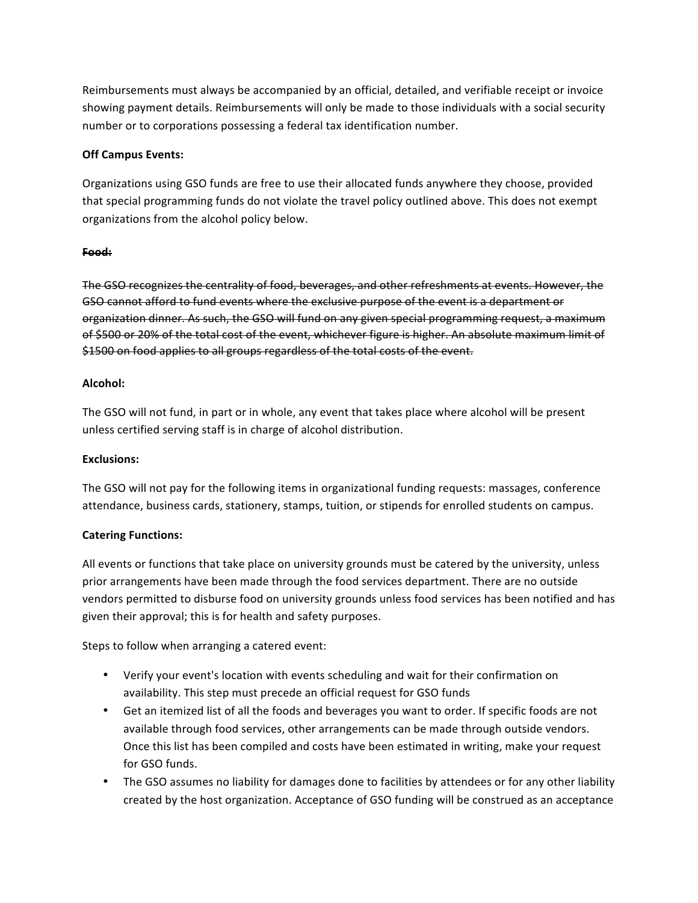Reimbursements must always be accompanied by an official, detailed, and verifiable receipt or invoice showing payment details. Reimbursements will only be made to those individuals with a social security number or to corporations possessing a federal tax identification number.

# **Off Campus Events:**

Organizations using GSO funds are free to use their allocated funds anywhere they choose, provided that special programming funds do not violate the travel policy outlined above. This does not exempt organizations from the alcohol policy below.

#### **Food:**

The GSO recognizes the centrality of food, beverages, and other refreshments at events. However, the GSO cannot afford to fund events where the exclusive purpose of the event is a department or organization dinner. As such, the GSO will fund on any given special programming request, a maximum of \$500 or 20% of the total cost of the event, whichever figure is higher. An absolute maximum limit of \$1500 on food applies to all groups regardless of the total costs of the event.

# **Alcohol:**

The GSO will not fund, in part or in whole, any event that takes place where alcohol will be present unless certified serving staff is in charge of alcohol distribution.

#### **Exclusions:**

The GSO will not pay for the following items in organizational funding requests: massages, conference attendance, business cards, stationery, stamps, tuition, or stipends for enrolled students on campus.

#### **Catering Functions:**

All events or functions that take place on university grounds must be catered by the university, unless prior arrangements have been made through the food services department. There are no outside vendors permitted to disburse food on university grounds unless food services has been notified and has given their approval; this is for health and safety purposes.

Steps to follow when arranging a catered event:

- Verify your event's location with events scheduling and wait for their confirmation on availability. This step must precede an official request for GSO funds
- Get an itemized list of all the foods and beverages you want to order. If specific foods are not available through food services, other arrangements can be made through outside vendors. Once this list has been compiled and costs have been estimated in writing, make your request for GSO funds.
- The GSO assumes no liability for damages done to facilities by attendees or for any other liability created by the host organization. Acceptance of GSO funding will be construed as an acceptance